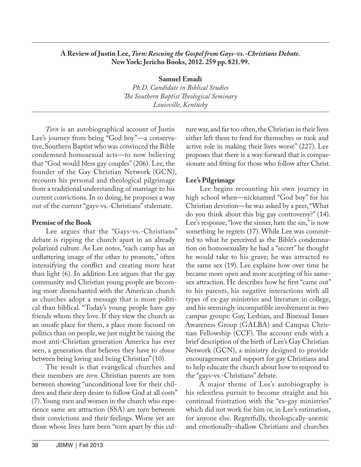### **A Review of Justin Lee,** *Torn: Rescuing the Gospel from Gays-vs.-Christians Debate.* **New York: Jericho Books, 2012. 259 pp. \$21.99.**

**Samuel Emadi** *Ph.D. Candidate in Biblical Studies The Southern Baptist Theological Seminary Louisville, Kentucky*

*Torn* is an autobiographical account of Justin Lee's journey from being "God boy"—a conservative, Southern Baptist who was convinced the Bible condemned homosexual acts—to now believing that "God would bless gay couples" (206). Lee, the founder of the Gay Christian Network (GCN), recounts his personal and theological pilgrimage from a traditional understanding of marriage to his current convictions. In so doing, he proposes a way out of the current "gays-vs.-Christians" stalemate.

### **Premise of the Book**

Lee argues that the "Gays-vs.-Christians" debate is ripping the church apart in an already polarized culture. As Lee notes, "each camp has an unflattering image of the other to promote," often intensifying the conflict and creating more heat than light (6). In addition Lee argues that the gay community and Christian young people are becoming more disenchanted with the American church as churches adopt a message that is more political than biblical. "Today's young people have gay friends whom they love. If they view the church as an unsafe place for them, a place more focused on politics than on people, we just might be raising the most anti-Christian generation America has ever seen, a generation that believes they have to *choose* between being loving and being Christian" (10).

The result is that evangelical churches and their members are *torn*. Christian parents are torn between showing "unconditional love for their children and their deep desire to follow God at all costs" (7). Young men and women in the church who experience same sex attraction (SSA) are torn between their convictions and their feelings. Worse yet are those whose lives have been "torn apart by this culture war, and far too often, the Christian in their lives either left them to fend for themselves or took and active role in making their lives worse" (227). Lee proposes that there is a way forward that is compassionate and fitting for those who follow after Christ.

# **Lee's Pilgrimage**

Lee begins recounting his own journey in high school when—nicknamed "God boy" for his Christian devotion—he was asked by a peer, "What do you think about this big gay controversy?" (14). Lee's response, "love the sinner, hate the sin," is now something he regrets (17). While Lee was committed to what he perceived as the Bible's condemnation on homosexuality he had a "secret" he thought he would take to his grave; he was attracted to the same sex (19). Lee explains how over time he became more open and more accepting of his samesex attraction. He describes how he first "came out" to his parents, his negative interactions with all types of ex-gay ministries and literature in college, and his seemingly incompatible involvement in two campus groups: Gay, Lesbian, and Bisexual Issues Awareness Group (GALBA) and Campus Christian Fellowship (CCF). The account ends with a brief description of the birth of Lee's Gay Christian Network (GCN), a ministry designed to provide encouragement and support for gay Christians and to help educate the church about how to respond to the "gays-vs.-Christians" debate.

A major theme of Lee's autobiography is his relentless pursuit to become straight and his continual frustration with the "ex-gay ministries" which did not work for him or, in Lee's estimation, for anyone else. Regretfully, theologically-anemic and emotionally-shallow Christians and churches